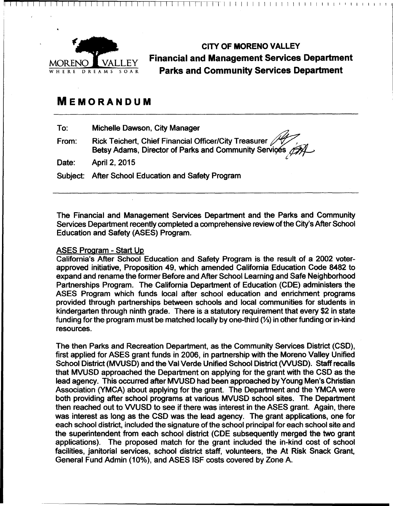

CITY **OF MORENO VALLEY Financial and Management Services Department**  WHERE DREAMS SOAR **Parks and Community Services Department** 

*(..* 

I I 1 1 1 r 1 1 1 1 1 1 1 1 1 1 1 1 1 1 1 1 1 1 1 1 1 1 1 1 1 1 1 1 1 1

# **MEMORANDUM**

To: Michelle Dawson, City Manager

From: Rick Teichert, Chief Financial Officer/City Treasurer Michelle Dawson, City Manager<br>Rick Teichert, Chief Financial Officer/City Treasurer<br>Betsy Adams, Director of Parks and Community Services AAL ~

Date: April 2, 2015

Subject: After School Education and Safety Program

The Financial and Management Services Department and the Parks and Community Services Department recently completed a comprehensive review of the City's After School Education and Safety {ASES) Program.

## ASES Program - Start Up

California's After School Education and Safety Program is the result of a 2002 voterapproved initiative, Proposition 49, which amended California Education Code 8482 to expand and rename the former Before and After School Learning and Safe Neighborhood Partnerships Program. The California Department of Education {CDE) administers the ASES Program which funds local after school education and enrichment programs provided through partnerships between schools and local communities for students in kindergarten through ninth grade. There is a statutory requirement that every \$2 in state funding for the program must be matched locally by one-third {%) in other funding or in-kind resources.

The then Parks and Recreation Department, as the Community Services District {CSD), first applied for ASES grant funds in 2006, in partnership with the Moreno Valley Unified School District {MVUSD) and the Val Verde Unified School District {VVUSD). Staff recalls that MVUSD approached the Department on applying for the grant with the CSD as the lead agency. This occurred after MVUSD had been approached by Young Men's Christian Association {YMCA) about applying for the grant. The Department and the YMCA were both providing after school programs at various MVUSD school sites. The Department then reached out to WUSD to see if there was interest in the ASES grant. Again, there was interest as long as the CSD was the lead agency. The grant applications, one for each school district, included the signature of the school principal for each school site and the superintendent from each school district {CDE subsequently merged the two grant applications). The proposed match for the grant included the in-kind cost of school facilities, janitorial services, school district staff, volunteers, the At Risk Snack Grant, General Fund Admin {10%), and ASES ISF costs covered by Zone A.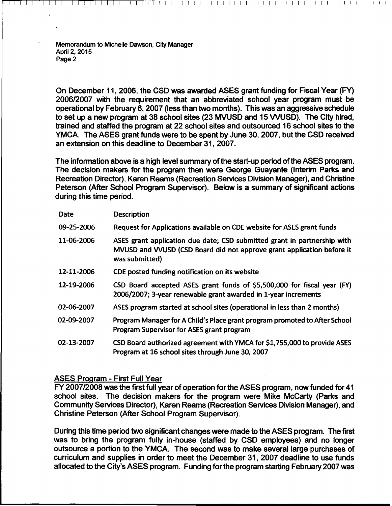On December 11, 2006, the CSD was awarded ASES grant funding for Fiscal Year (FY) 200612007 with the requirement that an abbreviated school year program must be operational by February 6, 2007 (less than two months). This was an aggressive schedule to set up a new program at 38 school sites (23 MVUSD and 15 WUSD). The City hired, trained and staffed the program at 22 school sites and outsourced 16 school sites to the YMCA. The ASES grant funds were to be spent by June 30, 2007, but the CSD received an extension on this deadline to December 31, 2007.

I f I I I I I I I I I I I I I I I I I I I I I I I I I I I I I I I I I I I I I I I I

The information above is a high level summary of the start-up period of the ASES program. The decision makers for the program then were George Guayante (Interim Parks and Recreation Director), Karen Reams (Recreation Services Division Manager), and Christine Peterson (After School Program Supervisor). Below is a summary of significant actions during this time period.

| <b>Date</b> | <b>Description</b>                                                                                                                                                   |
|-------------|----------------------------------------------------------------------------------------------------------------------------------------------------------------------|
| 09-25-2006  | Request for Applications available on CDE website for ASES grant funds                                                                                               |
| 11-06-2006  | ASES grant application due date; CSD submitted grant in partnership with<br>MVUSD and VVUSD (CSD Board did not approve grant application before it<br>was submitted) |
| 12-11-2006  | CDE posted funding notification on its website                                                                                                                       |
| 12-19-2006  | CSD Board accepted ASES grant funds of \$5,500,000 for fiscal year (FY)<br>2006/2007; 3-year renewable grant awarded in 1-year increments                            |
| 02-06-2007  | ASES program started at school sites (operational in less than 2 months)                                                                                             |
| 02-09-2007  | Program Manager for A Child's Place grant program promoted to After School<br>Program Supervisor for ASES grant program                                              |
| 02-13-2007  | CSD Board authorized agreement with YMCA for \$1,755,000 to provide ASES<br>Program at 16 school sites through June 30, 2007                                         |

#### ASES Program- First Full Year

FY 2007/2008 was the first full year of operation for the ASES program, now funded for 41 school sites. The decision makers for the program were Mike McCarty (Parks and Community Services Director), Karen Reams (Recreation Services Division Manager), and Christine Peterson (After School Program Supervisor).

During this time period two significant changes were made to the ASES program. The first was to bring the program fully in-house (staffed by CSD employees) and no longer outsource a portion to the YMCA. The second was to make several large purchases of curriculum and supplies in order to meet the December 31, 2007 deadline to use funds allocated to the City's ASES program. Funding for the program starting February 2007 was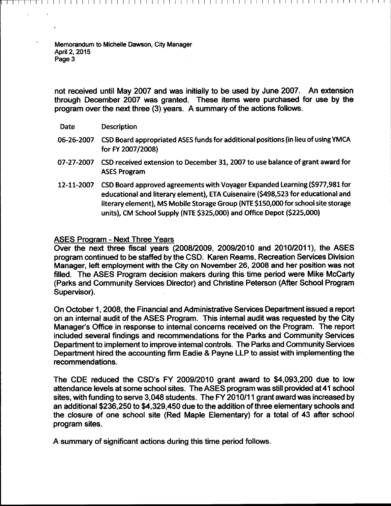not received until May 2007 and was initially to be used by June 2007. An extension through December 2007 was granted. These items were purchased for use by the program over the next three (3) years. A summary of the actions follows.

I I I I I I I I I I I I I I I I I I I I I I I I I I I I I I I I I I I I I I I I I I I I I I I I I I I I I I I I I I I I

- Date Description
- 06-26-2007 CSD Board appropriated ASES funds for additional positions (in lieu of using YMCA for FY 2007 /2008)
- 07-27-2007 CSD received extension to December 31, 2007 to use balance of grant award for ASES Program
- 12-11-2007 CSD Board approved agreements with Voyager Expanded learning (\$977,981 for educational and literary element), ETA Cuisenaire (\$498,523 for educational and literary element), MS Mobile Storage Group (NTE \$150,000 for school site storage units), CM School Supply (NTE \$325,000) and Office Depot (\$225,000)

#### ASES Program - Next Three Years

Over the next three fiscal years (2008/2009, 2009/2010 and 2010/2011), the ASES program continued to be staffed by the CSD. Karen Reams, Recreation Services Division Manager, left employment with the City on November 26, 2008 and her position was not filled. The ASES Program decision makers during this time period were Mike McCarty (Parks and Community Services Director) and Christine Peterson (After School Program Supervisor).

On October 1, 2008, the Financial and Administrative Services Department issued a report on an internal audit of the ASES Program. This internal audit was requested by the City Manager's Office in response to internal concerns received on the Program. The report included several findings and recommendations for the Parks and Community Services Department to implement to improve internal controls. The Parks and Community Services Department hired the accounting firm Eadie & Payne LLP to assist with implementing the recommendations.

The CDE reduced the CSD's FY 2009/2010 grant award to \$4,093,200 due to low attendance levels at some school sites. The ASES program was still provided at 41 school sites, with funding to serve 3,048 students. The FY 2010/11 grant award was increased by an additional \$236,250 to \$4,329,450 due to the addition of three elementary schools and the closure of one school site (Red Maple Elementary) for a total of 43 after school program sites.

A summary of significant actions during this time period follows.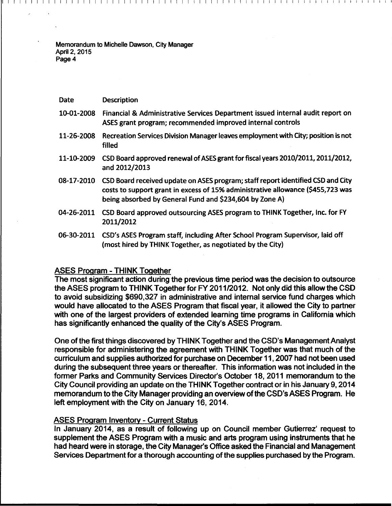| <b>Date</b> | <b>Description</b>                                                                                                                                                                                                            |
|-------------|-------------------------------------------------------------------------------------------------------------------------------------------------------------------------------------------------------------------------------|
| 10-01-2008  | Financial & Administrative Services Department issued internal audit report on<br>ASES grant program; recommended improved internal controls                                                                                  |
| 11-26-2008  | Recreation Services Division Manager leaves employment with City; position is not<br>filled                                                                                                                                   |
| 11-10-2009  | CSD Board approved renewal of ASES grant for fiscal years 2010/2011, 2011/2012,<br>and 2012/2013                                                                                                                              |
| 08-17-2010  | CSD Board received update on ASES program; staff report identified CSD and City<br>costs to support grant in excess of 15% administrative allowance (\$455,723 was<br>being absorbed by General Fund and \$234,604 by Zone A) |
| 04-26-2011  | CSD Board approved outsourcing ASES program to THINK Together, Inc. for FY<br>2011/2012                                                                                                                                       |
| 06-30-2011  | CSD's ASES Program staff, including After School Program Supervisor, laid off<br>(most hired by THINK Together, as negotiated by the City)                                                                                    |

I I I I I I I I I I I I I I I I I I I I I I I I I I I I I I I I I I I I I I I I I I I I I I I I I I I I I I I I I I I I I I I I I I I I

### ASES Program -THINK Together

The most significant action during the previous time period was the decision to outsource the ASES program to THINK Together for FY 2011/2012. Not only did this allow the CSD to avoid subsidizing \$690,327 in administrative and internal service fund charges which would have allocated to the ASES Program that fiscal year, it allowed the City to partner with one of the largest providers of extended learning time programs in California which has significantly enhanced the quality of the City's ASES Program.

One of the first things discovered by THINK Together and the CSD's Management Analyst responsible for administering the agreement with THINK Together was that much of the curriculum and supplies authorized for purchase on December 11, 2007 had not been used during the subsequent three years or thereafter. This information was not included in the former Parks and Community Services Director's October 18, 2011 memorandum to the City Council providing an update on the THINK Together contract or in his January 9, 2014 memorandum to the City Manager providing an overview of the CSD's ASES Program. He left employment with the City on January 16, 2014.

#### ASES Program Inventory - Current Status

In January 2014, as a result of following up on Council member Gutierrez' request to supplement the ASES Program with a music and arts program using instruments that he had heard were in storage, the City Manager's Office asked the Financial and Management Services Department for a thorough accounting of the supplies purchased by the Program.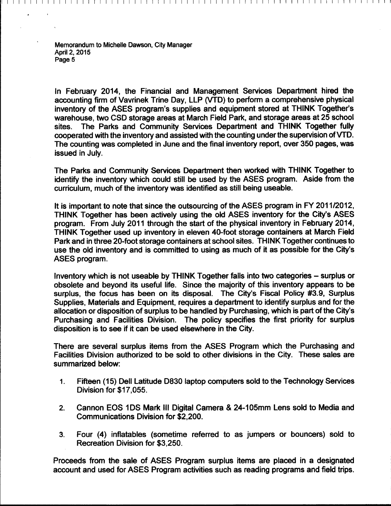In February 2014, the Financial and Management Services Department hired the accounting firm of Vavrinek Trine Day, LLP (VTD) to perform a comprehensive physical inventory of the ASES program's supplies and equipment stored at THINK Together's warehouse, two CSD storage areas at March Field Park, and storage areas at 25 school sites. The Parks and Community Services Department and THINK Together fully cooperated with the inventory and assisted with the counting under the supervision ofVTD. The counting was completed in June and the final inventory report, over 350 pages, was issued in July.

I I I I I I I I I I I I I I I I I I I I I I I I I I I I I I I I I I I I I I I I I I I I I I I I I I I I I I I I I I I I I I I I I I I I

The Parks and Community Services Department then worked with THINK Together to identify the inventory which could still be used by the ASES program. Aside from the curriculum, much of the inventory was identified as still being useable.

It is important to note that since the outsourcing of the ASES program in FY 2011/2012, THINK Together has been actively using the old ASES inventory for the City's ASES program. From July 2011 through the start of the physical inventory in February 2014, THINK Together used up inventory in eleven 40-foot storage containers at March Field Park and in three 20-foot storage containers at school sites. THINK Together continues to use the old inventory and is committed to using as much of it as possible for the City's ASES program.

Inventory which is not useable by THINK Together falls into two categories - surplus or obsolete and beyond its useful life. Since the majority of this inventory appears to be surplus, the focus has been on its disposal. The City's Fiscal Policy #3.9, Surplus Supplies, Materials and Equipment, requires a department to identify surplus and for the allocation or disposition of surplus to be handled by Purchasing, which is part of the City's Purchasing and Facilities Division. The policy specifies the first priority for surplus disposition is to see if it can be used elsewhere in the City.

There are several surplus items from the ASES Program which the Purchasing and Facilities Division authorized to be sold to other divisions in the City. These sales are summarized below:

- 1. Fifteen (15) Dell Latitude D830 laptop computers sold to the Technology Services Division for \$17,055.
- 2. Cannon EOS 1DS Mark III Digital Camera & 24-105mm Lens sold to Media and Communications Division for \$2,200.
- 3. Four (4) inflatables (sometime referred to as jumpers or bouncers) sold to Recreation Division for \$3,250.

Proceeds from the sale of ASES Program surplus items are placed in a designated account and used for ASES Program activities such as reading programs and field trips.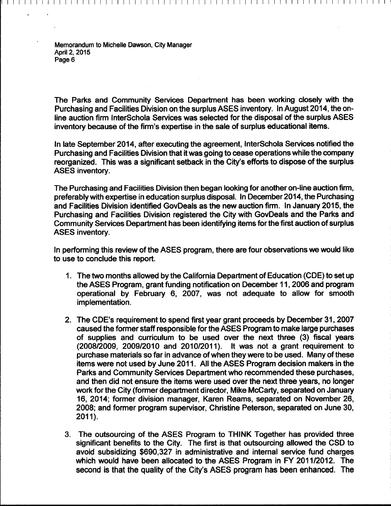The Parks and Community Services Department has been working closely with the Purchasing and Facilities Division on the surplus ASES inventory. In August 2014, the online auction firm lnterSchola Services was selected for the disposal of the surplus ASES inventory because of the firm's expertise in the sale of surplus educational items.

I I I I I I I I I I I I I I I I I I I I I I I I I I I I I I I I I I I I I I I I I I I I I I I I I I I I I I I I I I I I I I I I I I I !

In late September 2014, after executing the agreement, InterSchola Services notified the Purchasing and Facilities Division that it was going to cease operations while the company reorganized. This was a significant setback in the City's efforts to dispose of the surplus ASES inventory.

The Purchasing and Facilities Division then began looking for another on-line auction firm, preferably with expertise in education surplus disposal. In December 2014, the Purchasing and Facilities Division identified GovDeals as the new auction firm. In January 2015, the Purchasing and Facilities Division registered the City with GovDeals and the Parks and Community Services Department has been identifying items for the first auction of surplus ASES inventory.

In performing this review of the ASES program, there are four observations we would like to use to conclude this report.

- 1. The two months allowed by the California Department of Education (CDE) to set up the ASES Program, grant funding notification on December 11, 2006 and program operational by February 6, 2007, was not adequate to allow for smooth implementation.
- 2. The CDE's requirement to spend first year grant proceeds by December 31, 2007 caused the former staff responsible for the ASES Program to make large purchases of supplies and curriculum to be used over the next three (3) fiscal years (200812009, 2009/2010 and 2010/2011 ). It was not a grant requirement to purchase materials so far in advance of when they were to be used. Many of these items were not used by June 2011. All the ASES Program decision makers in the Parks and Community Services Department who recommended these purchases, and then did not ensure the items were used over the next three years, no longer work for the City (former department director, Mike McCarty, separated on January 16, 2014; former division manager, Karen Reams, separated on November 26, 2008; and former program supervisor, Christine Peterson, separated on June 30, 2011).
- 3. The outsourcing of the ASES Program to THINK Together has provided three significant benefits to the City. The first is that outsourcing allowed the CSD to avoid subsidizing \$690,327 in administrative and internal service fund charges which would have been allocated to the ASES Program in FY 2011/2012. The second is that the quality of the City's ASES program has been enhanced. The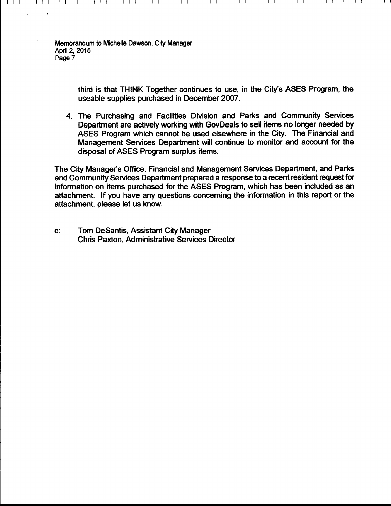> third is that THINK Together continues to use, in the City's ASES Program, the useable supplies purchased in December 2007.

I I I I I I I I I I I I I I I I I I I I I I I I I I I I I I I I I I I I I I I I I I I I I I I I I I I I I I I I I I I I I I I I I I I I

4. The Purchasing and Facilities Division and Parks and Community Services Department are actively working with GovDeals to sell items no longer needed by ASES Program which cannot be used elsewhere in the City. The Financial and Management Services Department will continue to monitor and account for the disposal of ASES Program surplus items.

The City Manager's Office, Financial and Management Services Department, and Parks and Community Services Department prepared a response to a recent resident request for information on items purchased for the ASES Program, which has been included as an attachment. If you have any questions concerning the information in this report or the attachment, please let us know.

c: Tom DeSantis, Assistant City Manager Chris Paxton, Administrative Services Director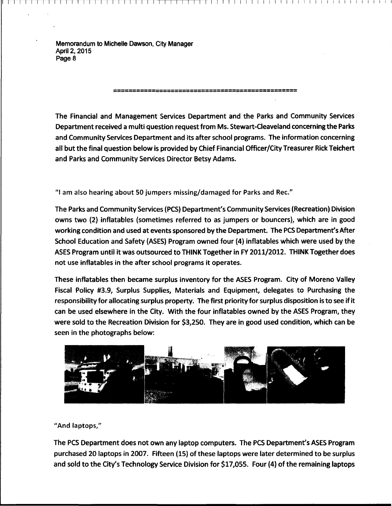The Financial and Management Services Department and the Parks and Community Services Department received a multi question request from Ms. Stewart-Cieaveland concerning the Parks and Community Services Department and its after school programs. The information concerning all but the final question below is provided by Chief Financial Officer/City Treasurer Rick Teichert and Parks and Community Services Director Betsy Adams.

================================================

11-1--T [ [ I I I I I I I I I I I I I I I I I I I I I I I I I I I I I I I

"I am also hearing about 50 jumpers missing/damaged for Parks and Rec."

The Parks and Community Services (PCS) Department's Community Services (Recreation) Division owns two (2) inflatables (sometimes referred to as jumpers or bouncers), which are in good working condition and used at events sponsored by the Department. The PCS Department's After School Education and Safety {ASES) Program owned four {4) inflatables which were used by the ASES Program until it was outsourced to THINK Together in FY 2011/2012. THINK Together does not use inflatables in the after school programs it operates.

These inflatables then became surplus inventory for the ASES Program. City of Moreno Valley Fiscal Policy #3.9, Surplus Supplies, Materials and Equipment, delegates to Purchasing the responsibility for allocating surplus property. The first priority for surplus disposition is to see if it can be used elsewhere in the City. With the four inflatables owned by the ASES Program, they were sold to the Recreation Division for \$3,250. They are in good used condition, which can be seen in the photographs below:



"And laptops,"

The PCS Department does not own any laptop computers. The PCS Department's ASES Program purchased 20 laptops in 2007. Fifteen (15) of these laptops were later determined to be surplus and sold to the City's Technology Service Division for \$17,055. Four (4) of the remaining laptops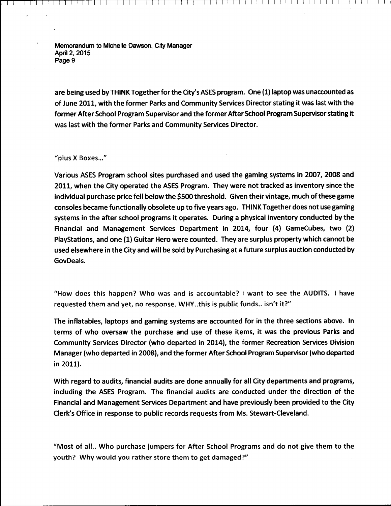are being used by THINK Together for the City's ASES program. One (1) laptop was unaccounted as of June 2011, with the former Parks and Community Services Director stating it was last with the former After School Program Supervisor and the former After School Program Supervisor stating it was last with the former Parks and Community Services Director.

[ I I I I I I I I I I I I I I I I I I I I I I I I <sup>1</sup>

"plus X Boxes..."

Various ASES Program school sites purchased and used the gaming systems in 2007, 2008 and 2011, when the City operated the ASES Program. They were not tracked as inventory since the individual purchase price fell below the \$500 threshold. Given their vintage, much of these game consoles became functionally obsolete up to five years ago. THINK Together does not use gaming systems in the after school programs it operates. During a physical inventory conducted by the Financial and Management Services Department in 2014, four (4) GameCubes, two (2) PlayStations, and one (1) Guitar Hero were counted. They are surplus property which cannot be used elsewhere in the City and will be sold by Purchasing at a future surplus auction conducted by GovDeals.

"How does this happen? Who was and is accountable? I want to see the AUDITS. I have requested them and yet, no response. WHY..this is public funds.. isn't it?"

The inflatables, laptops and gaming systems are accounted for in the three sections above. In terms of who oversaw the purchase and use of these items, it was the previous Parks and Community Services Director {who departed in 2014), the former Recreation Services Division Manager (who departed in 2008), and the former After School Program Supervisor (who departed in 2011).

With regard to audits, financial audits are done annually for all City departments and programs, including the ASES Program. The financial audits are conducted under the direction of the Financial and Management Services Department and have previously been provided to the City Clerk's Office in response to public records requests from Ms. Stewart-Cleveland.

"Most of all.. Who purchase jumpers for After School Programs and do not give them to the youth? Why would you rather store them to get damaged?"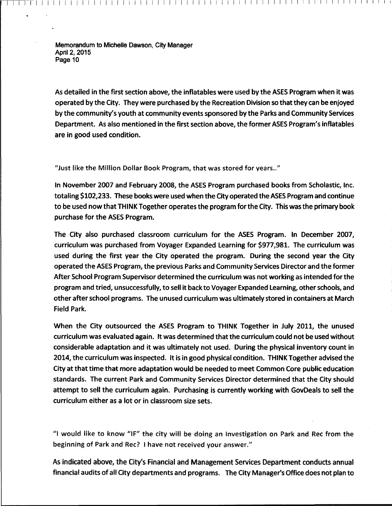As detailed in the first section above, the inflatables were used by the ASES Program when it was operated by the City. They were purchased by the Recreation Division so that they can be enjoyed by the community's youth at community events sponsored by the Parks and Community Services Department. As also mentioned in the first section above, the former ASES Program's inflatables are in good used condition.

r I I I I I I I I I I I I I I I I I I I I I I I I I I I I I I I I I I I I I I I I I I I I I I I I I I I I I I I I I I I I 1

"Just like the Million Dollar Book Program, that was stored for years .. "

In November 2007 and February 2008, the ASES Program purchased books from Scholastic, Inc. totaling \$102,233. These books were used when the City operated the ASES Program and continue to be used now that THINK Together operates the program for the City. This was the primary book purchase for the ASES Program.

The City also purchased classroom curriculum for the ASES Program. In December 2007, curriculum was purchased from Voyager Expanded learning for \$977,981. The curriculum was used during the first year the City operated the program. During the second year the City operated the ASES Program, the previous Parks and Community Services Director and the former After School Program Supervisor determined the curriculum was not working as intended for the program and tried, unsuccessfully, to sell it back to Voyager Expanded learning, other schools, and other after school programs. The unused curriculum was ultimately stored in containers at March Field Park.

When the City outsourced the ASES Program to THINK Together in July 2011, the unused curriculum was evaluated again. It was determined that the curriculum could not be used without considerable adaptation and it was ultimately not used. During the physical inventory count in 2014, the curriculum was inspected. It is in good physical condition. THINK Together advised the City at that time that more adaptation would be needed to meet Common Core public education standards. The current Park and Community Services Director determined that the City should attempt to sell the curriculum again. Purchasing is currently working with GovDeals to sell the curriculum either as a lot or in classroom size sets.

"I would like to know "IF" the city will be doing an Investigation on Park and Rec from the beginning of Park and Rec? I have not received your answer."

As indicated above, the City's Financial and Management Services Department conducts annual financial audits of all City departments and programs. The City Manager's Office does not plan to